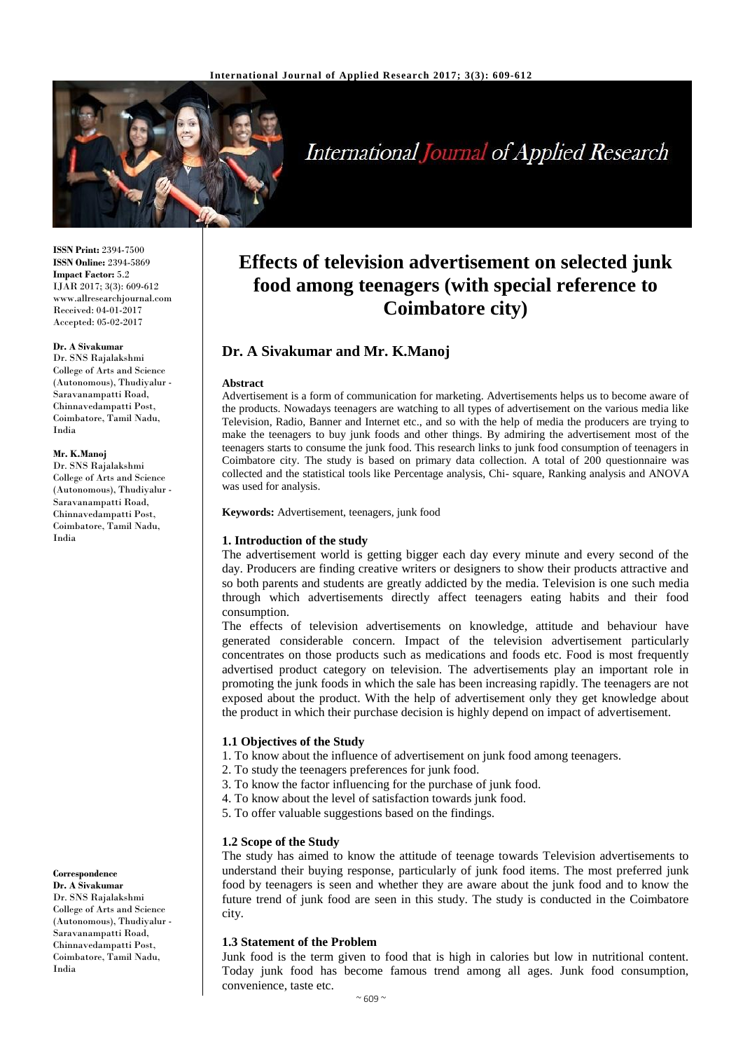

# **International Journal of Applied Research**

**ISSN Print:** 2394-7500 **ISSN Online:** 2394-5869 **Impact Factor:** 5.2 IJAR 2017; 3(3): 609-612 www.allresearchjournal.com Received: 04-01-2017 Accepted: 05-02-2017

#### **Dr. A Sivakumar**

Dr. SNS Rajalakshmi College of Arts and Science (Autonomous), Thudiyalur - Saravanampatti Road, Chinnavedampatti Post, Coimbatore, Tamil Nadu, India

#### **Mr. K.Manoj**

Dr. SNS Rajalakshmi College of Arts and Science (Autonomous), Thudiyalur - Saravanampatti Road, Chinnavedampatti Post, Coimbatore, Tamil Nadu, India

**Correspondence**

**Dr. A Sivakumar** Dr. SNS Rajalakshmi College of Arts and Science (Autonomous), Thudiyalur - Saravanampatti Road, Chinnavedampatti Post, Coimbatore, Tamil Nadu, India

# **Effects of television advertisement on selected junk food among teenagers (with special reference to Coimbatore city)**

# **Dr. A Sivakumar and Mr. K.Manoj**

#### **Abstract**

Advertisement is a form of communication for marketing. Advertisements helps us to become aware of the products. Nowadays teenagers are watching to all types of advertisement on the various media like Television, Radio, Banner and Internet etc., and so with the help of media the producers are trying to make the teenagers to buy junk foods and other things. By admiring the advertisement most of the teenagers starts to consume the junk food. This research links to junk food consumption of teenagers in Coimbatore city. The study is based on primary data collection. A total of 200 questionnaire was collected and the statistical tools like Percentage analysis, Chi- square, Ranking analysis and ANOVA was used for analysis.

**Keywords:** Advertisement, teenagers, junk food

#### **1. Introduction of the study**

The advertisement world is getting bigger each day every minute and every second of the day. Producers are finding creative writers or designers to show their products attractive and so both parents and students are greatly addicted by the media. Television is one such media through which advertisements directly affect teenagers eating habits and their food consumption.

The effects of television advertisements on knowledge, attitude and behaviour have generated considerable concern. Impact of the television advertisement particularly concentrates on those products such as medications and foods etc. Food is most frequently advertised product category on television. The advertisements play an important role in promoting the junk foods in which the sale has been increasing rapidly. The teenagers are not exposed about the product. With the help of advertisement only they get knowledge about the product in which their purchase decision is highly depend on impact of advertisement.

#### **1.1 Objectives of the Study**

- 1. To know about the influence of advertisement on junk food among teenagers.
- 2. To study the teenagers preferences for junk food.
- 3. To know the factor influencing for the purchase of junk food.
- 4. To know about the level of satisfaction towards junk food.
- 5. To offer valuable suggestions based on the findings.

#### **1.2 Scope of the Study**

The study has aimed to know the attitude of teenage towards Television advertisements to understand their buying response, particularly of junk food items. The most preferred junk food by teenagers is seen and whether they are aware about the junk food and to know the future trend of junk food are seen in this study. The study is conducted in the Coimbatore city.

#### **1.3 Statement of the Problem**

Junk food is the term given to food that is high in calories but low in nutritional content. Today junk food has become famous trend among all ages. Junk food consumption, convenience, taste etc.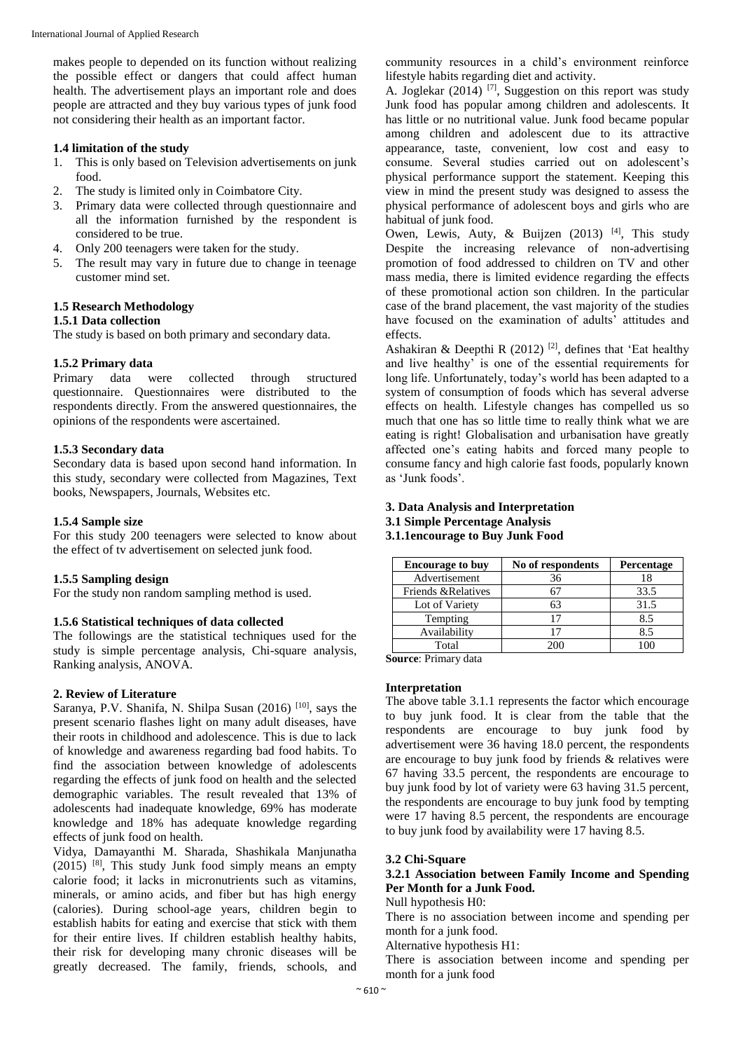makes people to depended on its function without realizing the possible effect or dangers that could affect human health. The advertisement plays an important role and does people are attracted and they buy various types of junk food not considering their health as an important factor.

#### **1.4 limitation of the study**

- 1. This is only based on Television advertisements on junk food.
- 2. The study is limited only in Coimbatore City.
- 3. Primary data were collected through questionnaire and all the information furnished by the respondent is considered to be true.
- 4. Only 200 teenagers were taken for the study.
- 5. The result may vary in future due to change in teenage customer mind set.

# **1.5 Research Methodology**

#### **1.5.1 Data collection**

The study is based on both primary and secondary data.

#### **1.5.2 Primary data**

Primary data were collected through structured questionnaire. Questionnaires were distributed to the respondents directly. From the answered questionnaires, the opinions of the respondents were ascertained.

#### **1.5.3 Secondary data**

Secondary data is based upon second hand information. In this study, secondary were collected from Magazines, Text books, Newspapers, Journals, Websites etc.

#### **1.5.4 Sample size**

For this study 200 teenagers were selected to know about the effect of tv advertisement on selected junk food.

#### **1.5.5 Sampling design**

For the study non random sampling method is used.

#### **1.5.6 Statistical techniques of data collected**

The followings are the statistical techniques used for the study is simple percentage analysis, Chi-square analysis, Ranking analysis, ANOVA.

#### **2. Review of Literature**

Saranya, P.V. Shanifa, N. Shilpa Susan (2016) [10], says the present scenario flashes light on many adult diseases, have their roots in childhood and adolescence. This is due to lack of knowledge and awareness regarding bad food habits. To find the association between knowledge of adolescents regarding the effects of junk food on health and the selected demographic variables. The result revealed that 13% of adolescents had inadequate knowledge, 69% has moderate knowledge and 18% has adequate knowledge regarding effects of junk food on health.

Vidya, Damayanthi M. Sharada, Shashikala Manjunatha  $(2015)$  <sup>[8]</sup>, This study Junk food simply means an empty calorie food; it lacks in micronutrients such as vitamins, minerals, or amino acids, and fiber but has high energy (calories). During school-age years, children begin to establish habits for eating and exercise that stick with them for their entire lives. If children establish healthy habits, their risk for developing many chronic diseases will be greatly decreased. The family, friends, schools, and

community resources in a child's environment reinforce lifestyle habits regarding diet and activity.

A. Joglekar  $(2014)$  <sup>[7]</sup>, Suggestion on this report was study Junk food has popular among children and adolescents. It has little or no nutritional value. Junk food became popular among children and adolescent due to its attractive appearance, taste, convenient, low cost and easy to consume. Several studies carried out on adolescent's physical performance support the statement. Keeping this view in mind the present study was designed to assess the physical performance of adolescent boys and girls who are habitual of junk food.

Owen, Lewis, Auty, & Buijzen  $(2013)$  <sup>[4]</sup>, This study Despite the increasing relevance of non-advertising promotion of food addressed to children on TV and other mass media, there is limited evidence regarding the effects of these promotional action son children. In the particular case of the brand placement, the vast majority of the studies have focused on the examination of adults' attitudes and effects.

Ashakiran & Deepthi R (2012)<sup>[2]</sup>, defines that 'Eat healthy and live healthy' is one of the essential requirements for long life. Unfortunately, today's world has been adapted to a system of consumption of foods which has several adverse effects on health. Lifestyle changes has compelled us so much that one has so little time to really think what we are eating is right! Globalisation and urbanisation have greatly affected one's eating habits and forced many people to consume fancy and high calorie fast foods, popularly known as 'Junk foods'.

#### **3. Data Analysis and Interpretation 3.1 Simple Percentage Analysis 3.1.1encourage to Buy Junk Food**

| <b>Encourage to buy</b> | No of respondents | Percentage |
|-------------------------|-------------------|------------|
| Advertisement           | 36                |            |
| Friends & Relatives     |                   | 33.5       |
| Lot of Variety          | 63                | 31.5       |
| Tempting                | 17                | 8.5        |
| Availability            | 17                | 8.5        |
| Total                   | 200               |            |

**Source**: Primary data

#### **Interpretation**

The above table 3.1.1 represents the factor which encourage to buy junk food. It is clear from the table that the respondents are encourage to buy junk food by advertisement were 36 having 18.0 percent, the respondents are encourage to buy junk food by friends & relatives were 67 having 33.5 percent, the respondents are encourage to buy junk food by lot of variety were 63 having 31.5 percent, the respondents are encourage to buy junk food by tempting were 17 having 8.5 percent, the respondents are encourage to buy junk food by availability were 17 having 8.5.

#### **3.2 Chi-Square**

# **3.2.1 Association between Family Income and Spending Per Month for a Junk Food.**

Null hypothesis H0:

There is no association between income and spending per month for a junk food.

Alternative hypothesis H1:

There is association between income and spending per month for a junk food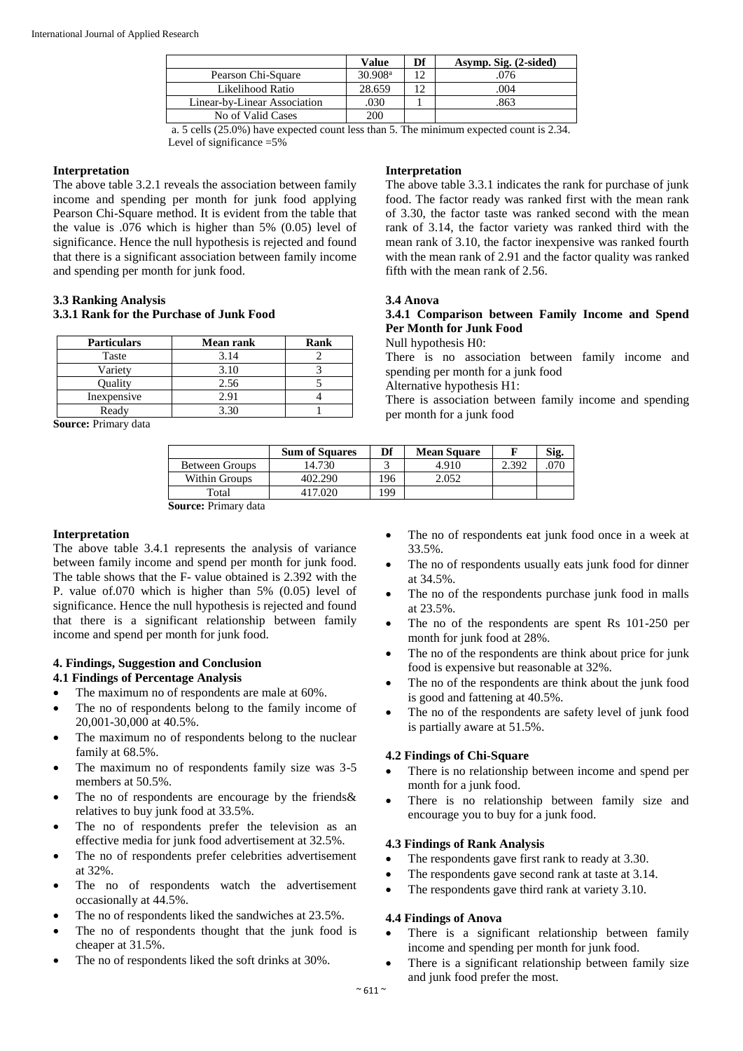|                              | Value               | Df | Asymp. Sig. (2-sided) |
|------------------------------|---------------------|----|-----------------------|
| Pearson Chi-Square           | 30.908 <sup>a</sup> |    | 076                   |
| Likelihood Ratio             | 28.659              |    | 004                   |
| Linear-by-Linear Association | 030                 |    | 863                   |
| No of Valid Cases            | 200                 |    |                       |

a. 5 cells (25.0%) have expected count less than 5. The minimum expected count is 2.34. Level of significance =5%

#### **Interpretation**

The above table 3.2.1 reveals the association between family income and spending per month for junk food applying Pearson Chi-Square method. It is evident from the table that the value is .076 which is higher than 5% (0.05) level of significance. Hence the null hypothesis is rejected and found that there is a significant association between family income and spending per month for junk food.

# **3.3 Ranking Analysis**

# **3.3.1 Rank for the Purchase of Junk Food**

| <b>Particulars</b> | <b>Mean rank</b> | Rank |  |
|--------------------|------------------|------|--|
| Taste              | 3.14             |      |  |
| Variety            | 3.10             |      |  |
| Ouality            | 2.56             |      |  |
| Inexpensive        | 2.91             |      |  |
| Ready              | 3 3 N            |      |  |

**Source:** Primary data

#### **Interpretation**

The above table 3.3.1 indicates the rank for purchase of junk food. The factor ready was ranked first with the mean rank of 3.30, the factor taste was ranked second with the mean rank of 3.14, the factor variety was ranked third with the mean rank of 3.10, the factor inexpensive was ranked fourth with the mean rank of 2.91 and the factor quality was ranked fifth with the mean rank of 2.56.

#### **3.4 Anova**

# **3.4.1 Comparison between Family Income and Spend Per Month for Junk Food**

Null hypothesis H0:

There is no association between family income and spending per month for a junk food

Alternative hypothesis H1:

There is association between family income and spending per month for a junk food

|                       | <b>Sum of Squares</b> | Df | <b>Mean Square</b> |       | Sig. |
|-----------------------|-----------------------|----|--------------------|-------|------|
| <b>Between Groups</b> | 14.730                |    | 4.910              | 2.392 |      |
| Within Groups         | 402.290               | 96 | 2.052              |       |      |
| Total                 |                       | 99 |                    |       |      |
| . <del>.</del> .      |                       |    |                    |       |      |

**Source:** Primary data

#### **Interpretation**

The above table 3.4.1 represents the analysis of variance between family income and spend per month for junk food. The table shows that the F- value obtained is 2.392 with the P. value of.070 which is higher than 5% (0.05) level of significance. Hence the null hypothesis is rejected and found that there is a significant relationship between family income and spend per month for junk food.

# **4. Findings, Suggestion and Conclusion**

# **4.1 Findings of Percentage Analysis**

- The maximum no of respondents are male at 60%.
- The no of respondents belong to the family income of 20,001-30,000 at 40.5%.
- The maximum no of respondents belong to the nuclear family at 68.5%.
- The maximum no of respondents family size was 3-5 members at 50.5%.
- The no of respondents are encourage by the friends & relatives to buy junk food at 33.5%.
- The no of respondents prefer the television as an effective media for junk food advertisement at 32.5%.
- The no of respondents prefer celebrities advertisement at 32%.
- The no of respondents watch the advertisement occasionally at 44.5%.
- The no of respondents liked the sandwiches at 23.5%.
- The no of respondents thought that the junk food is cheaper at 31.5%.
- The no of respondents liked the soft drinks at 30%.
- The no of respondents eat junk food once in a week at 33.5%.
- The no of respondents usually eats junk food for dinner at 34.5%.
- The no of the respondents purchase junk food in malls at 23.5%.
- The no of the respondents are spent Rs 101-250 per month for junk food at 28%.
- The no of the respondents are think about price for junk food is expensive but reasonable at 32%.
- The no of the respondents are think about the junk food is good and fattening at 40.5%.
- The no of the respondents are safety level of junk food is partially aware at 51.5%.

#### **4.2 Findings of Chi-Square**

- There is no relationship between income and spend per month for a junk food.
- There is no relationship between family size and encourage you to buy for a junk food.

#### **4.3 Findings of Rank Analysis**

- The respondents gave first rank to ready at 3.30.
- The respondents gave second rank at taste at 3.14.
- The respondents gave third rank at variety 3.10.

#### **4.4 Findings of Anova**

- There is a significant relationship between family income and spending per month for junk food.
- There is a significant relationship between family size and junk food prefer the most.